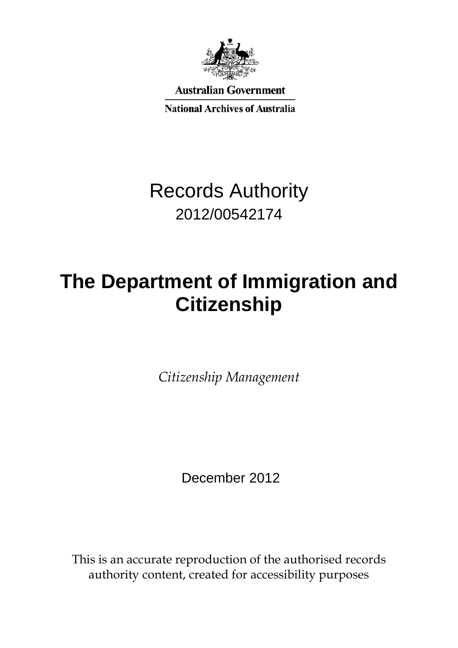

**Australian Government** 

**National Archives of Australia** 

## Records Authority 2012/00542174

# **The Department of Immigration and Citizenship**

*Citizenship Management*

December 2012

This is an accurate reproduction of the authorised records authority content, created for accessibility purposes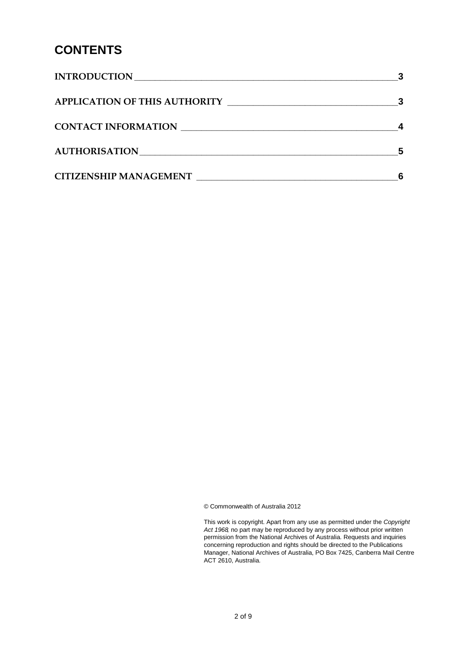### **CONTENTS**

| <b>INTRODUCTION</b>           |  |
|-------------------------------|--|
|                               |  |
| <b>CONTACT INFORMATION</b>    |  |
| <b>AUTHORISATION</b>          |  |
| <b>CITIZENSHIP MANAGEMENT</b> |  |

© Commonwealth of Australia 2012

This work is copyright. Apart from any use as permitted under the *Copyright Act 1968,* no part may be reproduced by any process without prior written permission from the National Archives of Australia. Requests and inquiries concerning reproduction and rights should be directed to the Publications Manager, National Archives of Australia, PO Box 7425, Canberra Mail Centre ACT 2610, Australia.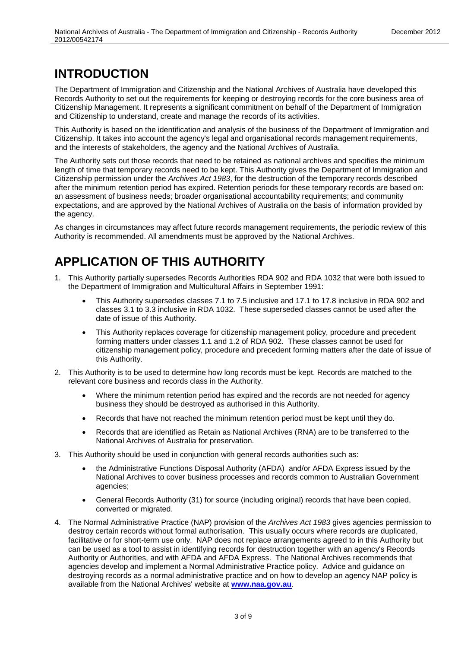#### <span id="page-2-0"></span>**INTRODUCTION**

The Department of Immigration and Citizenship and the National Archives of Australia have developed this Records Authority to set out the requirements for keeping or destroying records for the core business area of Citizenship Management. It represents a significant commitment on behalf of the Department of Immigration and Citizenship to understand, create and manage the records of its activities.

This Authority is based on the identification and analysis of the business of the Department of Immigration and Citizenship. It takes into account the agency's legal and organisational records management requirements, and the interests of stakeholders, the agency and the National Archives of Australia.

The Authority sets out those records that need to be retained as national archives and specifies the minimum length of time that temporary records need to be kept. This Authority gives the Department of Immigration and Citizenship permission under the *Archives Act 1983*, for the destruction of the temporary records described after the minimum retention period has expired. Retention periods for these temporary records are based on: an assessment of business needs; broader organisational accountability requirements; and community expectations, and are approved by the National Archives of Australia on the basis of information provided by the agency.

As changes in circumstances may affect future records management requirements, the periodic review of this Authority is recommended. All amendments must be approved by the National Archives.

### <span id="page-2-1"></span>**APPLICATION OF THIS AUTHORITY**

- 1. This Authority partially supersedes Records Authorities RDA 902 and RDA 1032 that were both issued to the Department of Immigration and Multicultural Affairs in September 1991:
	- This Authority supersedes classes 7.1 to 7.5 inclusive and 17.1 to 17.8 inclusive in RDA 902 and classes 3.1 to 3.3 inclusive in RDA 1032. These superseded classes cannot be used after the date of issue of this Authority.
	- This Authority replaces coverage for citizenship management policy, procedure and precedent forming matters under classes 1.1 and 1.2 of RDA 902. These classes cannot be used for citizenship management policy, procedure and precedent forming matters after the date of issue of this Authority.
- 2. This Authority is to be used to determine how long records must be kept. Records are matched to the relevant core business and records class in the Authority.
	- Where the minimum retention period has expired and the records are not needed for agency business they should be destroyed as authorised in this Authority.
	- Records that have not reached the minimum retention period must be kept until they do.
	- Records that are identified as Retain as National Archives (RNA) are to be transferred to the National Archives of Australia for preservation.
- 3. This Authority should be used in conjunction with general records authorities such as:
	- the Administrative Functions Disposal Authority (AFDA) and/or AFDA Express issued by the National Archives to cover business processes and records common to Australian Government agencies;
	- General Records Authority (31) for source (including original) records that have been copied, converted or migrated.
- 4. The Normal Administrative Practice (NAP) provision of the *Archives Act 1983* gives agencies permission to destroy certain records without formal authorisation. This usually occurs where records are duplicated, facilitative or for short-term use only. NAP does not replace arrangements agreed to in this Authority but can be used as a tool to assist in identifying records for destruction together with an agency's Records Authority or Authorities, and with AFDA and AFDA Express. The National Archives recommends that agencies develop and implement a Normal Administrative Practice policy. Advice and guidance on destroying records as a normal administrative practice and on how to develop an agency NAP policy is available from the National Archives' website at **[www.naa.gov.au](http://www.naa.gov.au/)**.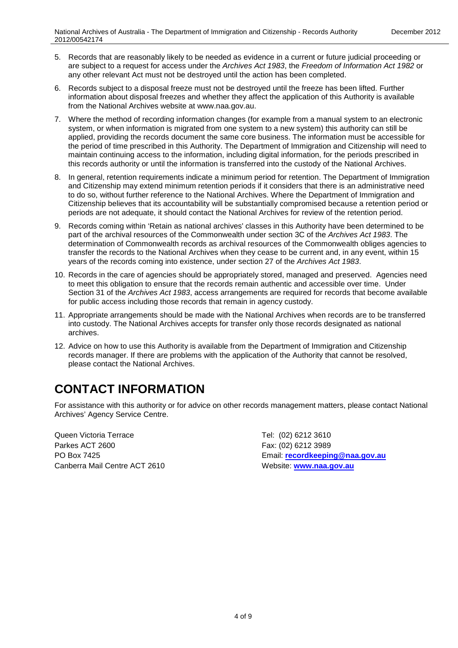- 5. Records that are reasonably likely to be needed as evidence in a current or future judicial proceeding or are subject to a request for access under the *Archives Act 1983*, the *Freedom of Information Act 1982* or any other relevant Act must not be destroyed until the action has been completed.
- 6. Records subject to a disposal freeze must not be destroyed until the freeze has been lifted. Further information about disposal freezes and whether they affect the application of this Authority is available from the National Archives website at www.naa.gov.au.
- 7. Where the method of recording information changes (for example from a manual system to an electronic system, or when information is migrated from one system to a new system) this authority can still be applied, providing the records document the same core business. The information must be accessible for the period of time prescribed in this Authority. The Department of Immigration and Citizenship will need to maintain continuing access to the information, including digital information, for the periods prescribed in this records authority or until the information is transferred into the custody of the National Archives.
- 8. In general, retention requirements indicate a minimum period for retention. The Department of Immigration and Citizenship may extend minimum retention periods if it considers that there is an administrative need to do so, without further reference to the National Archives. Where the Department of Immigration and Citizenship believes that its accountability will be substantially compromised because a retention period or periods are not adequate, it should contact the National Archives for review of the retention period.
- 9. Records coming within 'Retain as national archives' classes in this Authority have been determined to be part of the archival resources of the Commonwealth under section 3C of the *Archives Act 1983*. The determination of Commonwealth records as archival resources of the Commonwealth obliges agencies to transfer the records to the National Archives when they cease to be current and, in any event, within 15 years of the records coming into existence, under section 27 of the *Archives Act 1983*.
- 10. Records in the care of agencies should be appropriately stored, managed and preserved. Agencies need to meet this obligation to ensure that the records remain authentic and accessible over time. Under Section 31 of the *Archives Act 1983*, access arrangements are required for records that become available for public access including those records that remain in agency custody.
- 11. Appropriate arrangements should be made with the National Archives when records are to be transferred into custody. The National Archives accepts for transfer only those records designated as national archives.
- 12. Advice on how to use this Authority is available from the Department of Immigration and Citizenship records manager. If there are problems with the application of the Authority that cannot be resolved, please contact the National Archives.

### <span id="page-3-0"></span>**CONTACT INFORMATION**

For assistance with this authority or for advice on other records management matters, please contact National Archives' Agency Service Centre.

Queen Victoria Terrace Tel: (02) 6212 3610 Parkes ACT 2600 Fax: (02) 6212 3989 Canberra Mail Centre ACT 2610 Website: **[www.naa.gov.au](http://www.naa.gov.au/)**

PO Box 7425 Email: **[recordkeeping@naa.gov.au](mailto:recordkeeping@naa.gov.au)**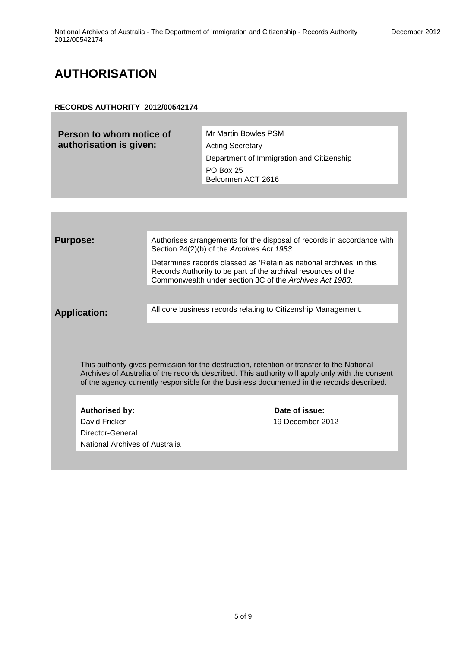#### <span id="page-4-0"></span>**AUTHORISATION**

#### **RECORDS AUTHORITY 2012/00542174**

| Person to whom notice of | Mr Martin Bowles PSM                      |
|--------------------------|-------------------------------------------|
| authorisation is given:  | <b>Acting Secretary</b>                   |
|                          | Department of Immigration and Citizenship |
|                          | <b>PO Box 25</b>                          |
|                          | Belconnen ACT 2616                        |

| <b>Purpose:</b> |                                                                                           | Authorises arrangements for the disposal of records in accordance with<br>Section 24(2)(b) of the Archives Act 1983                                                                             |
|-----------------|-------------------------------------------------------------------------------------------|-------------------------------------------------------------------------------------------------------------------------------------------------------------------------------------------------|
|                 |                                                                                           | Determines records classed as 'Retain as national archives' in this<br>Records Authority to be part of the archival resources of the<br>Commonwealth under section 3C of the Archives Act 1983. |
|                 |                                                                                           |                                                                                                                                                                                                 |
|                 | <b>Application:</b>                                                                       | All core business records relating to Citizenship Management.                                                                                                                                   |
|                 |                                                                                           | This authority gives permission for the destruction, retention or transfer to the National<br>Archives of Australia of the records described. This authority will apply only with the consent   |
|                 | of the agency currently responsible for the business documented in the records described. |                                                                                                                                                                                                 |
|                 | <b>Authorised by:</b>                                                                     | Date of issue:                                                                                                                                                                                  |
|                 | David Fricker                                                                             | 19 December 2012                                                                                                                                                                                |
|                 |                                                                                           |                                                                                                                                                                                                 |
|                 |                                                                                           |                                                                                                                                                                                                 |
|                 | Director-General<br>National Archives of Australia                                        |                                                                                                                                                                                                 |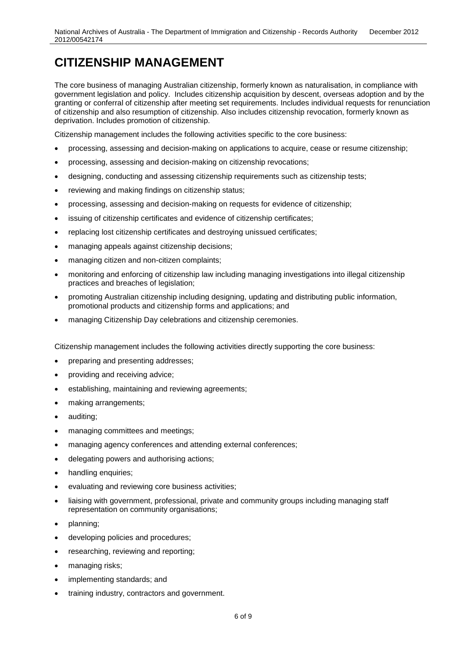<span id="page-5-0"></span>The core business of managing Australian citizenship, formerly known as naturalisation, in compliance with government legislation and policy. Includes citizenship acquisition by descent, overseas adoption and by the granting or conferral of citizenship after meeting set requirements. Includes individual requests for renunciation of citizenship and also resumption of citizenship. Also includes citizenship revocation, formerly known as deprivation. Includes promotion of citizenship.

Citizenship management includes the following activities specific to the core business:

- processing, assessing and decision-making on applications to acquire, cease or resume citizenship;
- processing, assessing and decision-making on citizenship revocations;
- designing, conducting and assessing citizenship requirements such as citizenship tests;
- reviewing and making findings on citizenship status;
- processing, assessing and decision-making on requests for evidence of citizenship;
- issuing of citizenship certificates and evidence of citizenship certificates;
- replacing lost citizenship certificates and destroying unissued certificates;
- managing appeals against citizenship decisions;
- managing citizen and non-citizen complaints;
- monitoring and enforcing of citizenship law including managing investigations into illegal citizenship practices and breaches of legislation;
- promoting Australian citizenship including designing, updating and distributing public information, promotional products and citizenship forms and applications; and
- managing Citizenship Day celebrations and citizenship ceremonies.

Citizenship management includes the following activities directly supporting the core business:

- preparing and presenting addresses;
- providing and receiving advice;
- establishing, maintaining and reviewing agreements;
- making arrangements;
- auditing;
- managing committees and meetings;
- managing agency conferences and attending external conferences;
- delegating powers and authorising actions;
- handling enquiries;
- evaluating and reviewing core business activities;
- liaising with government, professional, private and community groups including managing staff representation on community organisations;
- planning;
- developing policies and procedures;
- researching, reviewing and reporting;
- managing risks;
- implementing standards; and
- training industry, contractors and government.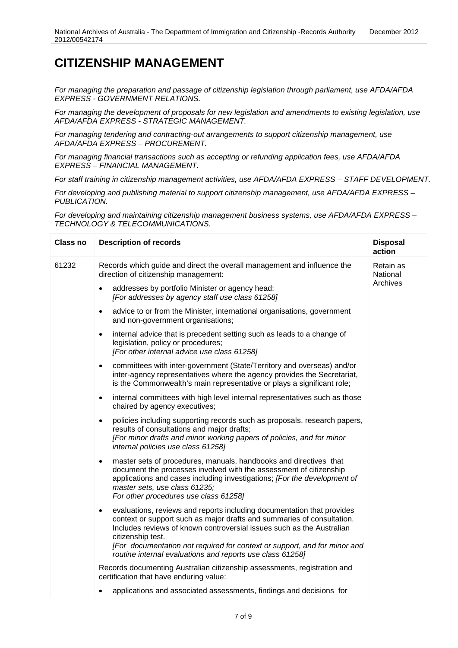*For managing the preparation and passage of citizenship legislation through parliament, use AFDA/AFDA EXPRESS - GOVERNMENT RELATIONS.* 

*For managing the development of proposals for new legislation and amendments to existing legislation, use AFDA/AFDA EXPRESS - STRATEGIC MANAGEMENT.*

*For managing tendering and contracting-out arrangements to support citizenship management, use AFDA/AFDA EXPRESS – PROCUREMENT.*

*For managing financial transactions such as accepting or refunding application fees, use AFDA/AFDA EXPRESS – FINANCIAL MANAGEMENT.*

*For staff training in citizenship management activities, use AFDA/AFDA EXPRESS – STAFF DEVELOPMENT.*

*For developing and publishing material to support citizenship management, use AFDA/AFDA EXPRESS – PUBLICATION.* 

*For developing and maintaining citizenship management business systems, use AFDA/AFDA EXPRESS – TECHNOLOGY & TELECOMMUNICATIONS.*

| <b>Class no</b> | <b>Description of records</b>                                                                                                                                                                                                                                                                                                                                                                         | <b>Disposal</b><br>action         |
|-----------------|-------------------------------------------------------------------------------------------------------------------------------------------------------------------------------------------------------------------------------------------------------------------------------------------------------------------------------------------------------------------------------------------------------|-----------------------------------|
| 61232           | Records which guide and direct the overall management and influence the<br>direction of citizenship management:                                                                                                                                                                                                                                                                                       | Retain as<br>National<br>Archives |
|                 | addresses by portfolio Minister or agency head;<br>$\bullet$<br>[For addresses by agency staff use class 61258]                                                                                                                                                                                                                                                                                       |                                   |
|                 | advice to or from the Minister, international organisations, government<br>$\bullet$<br>and non-government organisations;                                                                                                                                                                                                                                                                             |                                   |
|                 | internal advice that is precedent setting such as leads to a change of<br>$\bullet$<br>legislation, policy or procedures;<br>[For other internal advice use class 61258]                                                                                                                                                                                                                              |                                   |
|                 | committees with inter-government (State/Territory and overseas) and/or<br>$\bullet$<br>inter-agency representatives where the agency provides the Secretariat,<br>is the Commonwealth's main representative or plays a significant role;                                                                                                                                                              |                                   |
|                 | internal committees with high level internal representatives such as those<br>$\bullet$<br>chaired by agency executives;                                                                                                                                                                                                                                                                              |                                   |
|                 | policies including supporting records such as proposals, research papers,<br>$\bullet$<br>results of consultations and major drafts;<br>[For minor drafts and minor working papers of policies, and for minor<br>internal policies use class 61258]                                                                                                                                                   |                                   |
|                 | master sets of procedures, manuals, handbooks and directives that<br>$\bullet$<br>document the processes involved with the assessment of citizenship<br>applications and cases including investigations; [For the development of<br>master sets, use class 61235;<br>For other procedures use class 61258]                                                                                            |                                   |
|                 | evaluations, reviews and reports including documentation that provides<br>$\bullet$<br>context or support such as major drafts and summaries of consultation.<br>Includes reviews of known controversial issues such as the Australian<br>citizenship test.<br>[For documentation not required for context or support, and for minor and<br>routine internal evaluations and reports use class 61258] |                                   |
|                 | Records documenting Australian citizenship assessments, registration and<br>certification that have enduring value:                                                                                                                                                                                                                                                                                   |                                   |
|                 | applications and associated assessments, findings and decisions for<br>٠                                                                                                                                                                                                                                                                                                                              |                                   |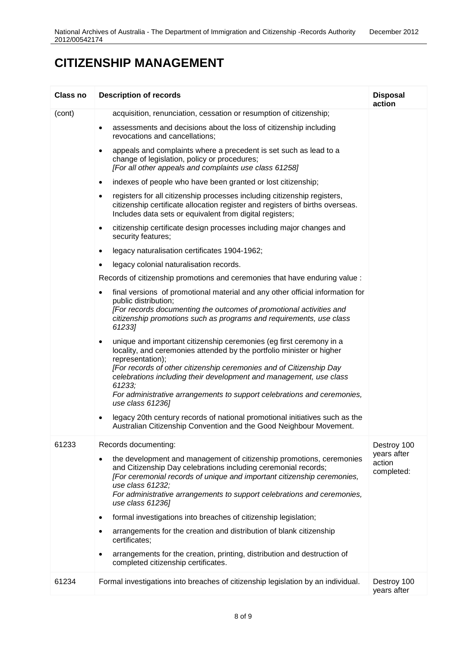| Class no | <b>Description of records</b>                                                                                                                                                                                                                                                                                                                                                                                                                                                                                                                                                                                                                                | <b>Disposal</b><br>action                          |
|----------|--------------------------------------------------------------------------------------------------------------------------------------------------------------------------------------------------------------------------------------------------------------------------------------------------------------------------------------------------------------------------------------------------------------------------------------------------------------------------------------------------------------------------------------------------------------------------------------------------------------------------------------------------------------|----------------------------------------------------|
| (cont)   | acquisition, renunciation, cessation or resumption of citizenship;                                                                                                                                                                                                                                                                                                                                                                                                                                                                                                                                                                                           |                                                    |
|          | assessments and decisions about the loss of citizenship including<br>$\bullet$<br>revocations and cancellations;                                                                                                                                                                                                                                                                                                                                                                                                                                                                                                                                             |                                                    |
|          | appeals and complaints where a precedent is set such as lead to a<br>٠<br>change of legislation, policy or procedures;<br>[For all other appeals and complaints use class 61258]                                                                                                                                                                                                                                                                                                                                                                                                                                                                             |                                                    |
|          | indexes of people who have been granted or lost citizenship;<br>٠                                                                                                                                                                                                                                                                                                                                                                                                                                                                                                                                                                                            |                                                    |
|          | registers for all citizenship processes including citizenship registers,<br>٠<br>citizenship certificate allocation register and registers of births overseas.<br>Includes data sets or equivalent from digital registers;                                                                                                                                                                                                                                                                                                                                                                                                                                   |                                                    |
|          | citizenship certificate design processes including major changes and<br>٠<br>security features;                                                                                                                                                                                                                                                                                                                                                                                                                                                                                                                                                              |                                                    |
|          | legacy naturalisation certificates 1904-1962;<br>$\bullet$                                                                                                                                                                                                                                                                                                                                                                                                                                                                                                                                                                                                   |                                                    |
|          | legacy colonial naturalisation records.<br>$\bullet$                                                                                                                                                                                                                                                                                                                                                                                                                                                                                                                                                                                                         |                                                    |
|          | Records of citizenship promotions and ceremonies that have enduring value :                                                                                                                                                                                                                                                                                                                                                                                                                                                                                                                                                                                  |                                                    |
|          | final versions of promotional material and any other official information for<br>public distribution;<br>[For records documenting the outcomes of promotional activities and<br>citizenship promotions such as programs and requirements, use class<br>61233]                                                                                                                                                                                                                                                                                                                                                                                                |                                                    |
|          | unique and important citizenship ceremonies (eg first ceremony in a<br>$\bullet$<br>locality, and ceremonies attended by the portfolio minister or higher<br>representation);<br>[For records of other citizenship ceremonies and of Citizenship Day<br>celebrations including their development and management, use class<br>61233;<br>For administrative arrangements to support celebrations and ceremonies,<br>use class 61236]<br>legacy 20th century records of national promotional initiatives such as the                                                                                                                                           |                                                    |
|          | Australian Citizenship Convention and the Good Neighbour Movement.                                                                                                                                                                                                                                                                                                                                                                                                                                                                                                                                                                                           |                                                    |
| 61233    | Records documenting:<br>the development and management of citizenship promotions, ceremonies<br>and Citizenship Day celebrations including ceremonial records;<br>[For ceremonial records of unique and important citizenship ceremonies,<br>use class 61232;<br>For administrative arrangements to support celebrations and ceremonies,<br>use class 61236]<br>formal investigations into breaches of citizenship legislation;<br>$\bullet$<br>arrangements for the creation and distribution of blank citizenship<br>certificates;<br>arrangements for the creation, printing, distribution and destruction of<br>٠<br>completed citizenship certificates. | Destroy 100<br>years after<br>action<br>completed: |
| 61234    | Formal investigations into breaches of citizenship legislation by an individual.                                                                                                                                                                                                                                                                                                                                                                                                                                                                                                                                                                             | Destroy 100<br>years after                         |